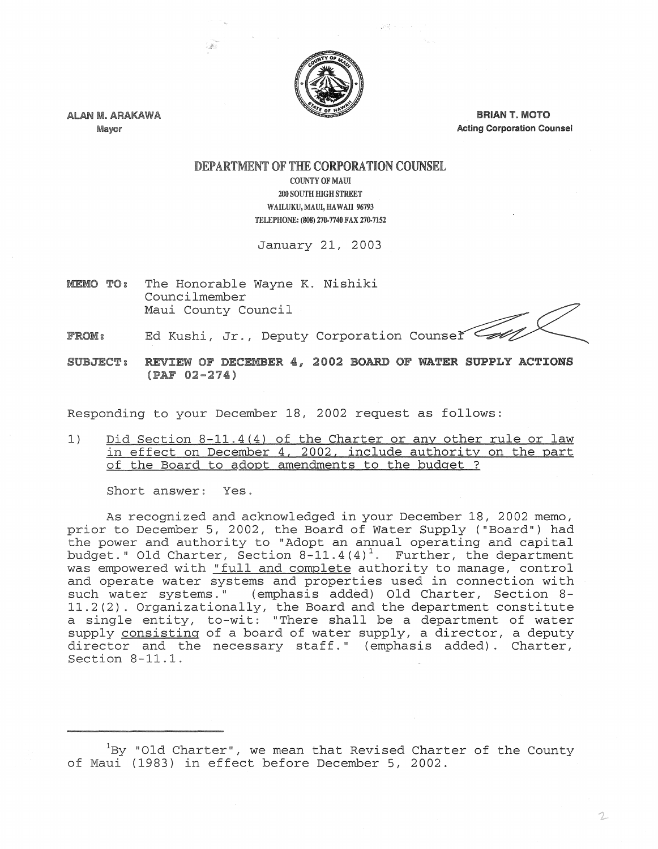

 $\mathcal{G}(\Omega)$  or

ALAN M. ARAKAWA Mayor

**BRIAN T. MOTO** Acting Corporation Counsel

## DEPARTMENT OF THE CORPORATION COUNSEL COUNTY OF MAUl 200 SOUTH HIGH STREET

WAILUKU, MAUI, HAWAII 96793 TELEPHONE: (808) 270-7740 FAX 270-7152

January 21, 2003

MEMO TO: The Honorable Wayne K. Nishiki Councilmember Maui County Council

2

Ed Kushi, Jr., Deputy Corporation Counser FROM:

SUBJECT: REVIEW OF DECEMBER 4, 2002 BOARD OF WATER SUPPLY ACTIONS  $(PAF 02 - 274)$ 

Responding to your December 18, 2002 request as follows:

1) Did Section 8-11.4(4) of the Charter or any other rule or law in effect on December 4, 2002, include authority on the part of the Board to adopt amendments to the budget ?

Short answer: Yes.

As recognized and acknowledged in your December 18, 2002 memo, prior to December 5, 2002, the Board of Water Supply ("Board") had the power and authority to "Adopt an annual operating and capital budget." Old Charter, Section  $8-11.4(4)^1$ . Further, the department was empowered with "full and complete authority to manage, control and operate water systems and properties used in connection with such water systems." (emphasis added) Old Charter, Section 8- $11.2(2)$ . Organizationally, the Board and the department constitute a single entity, to-wit: "There shall be a department of water supply consisting of a board of water supply, a director, a deputy director and the necessary staff." (emphasis added). Charter, Section 8-11.1.

of Maui (1983) in effect before December 5, 2002  $^1\!$ By "Old Charter", we mean that Revised Charter of the County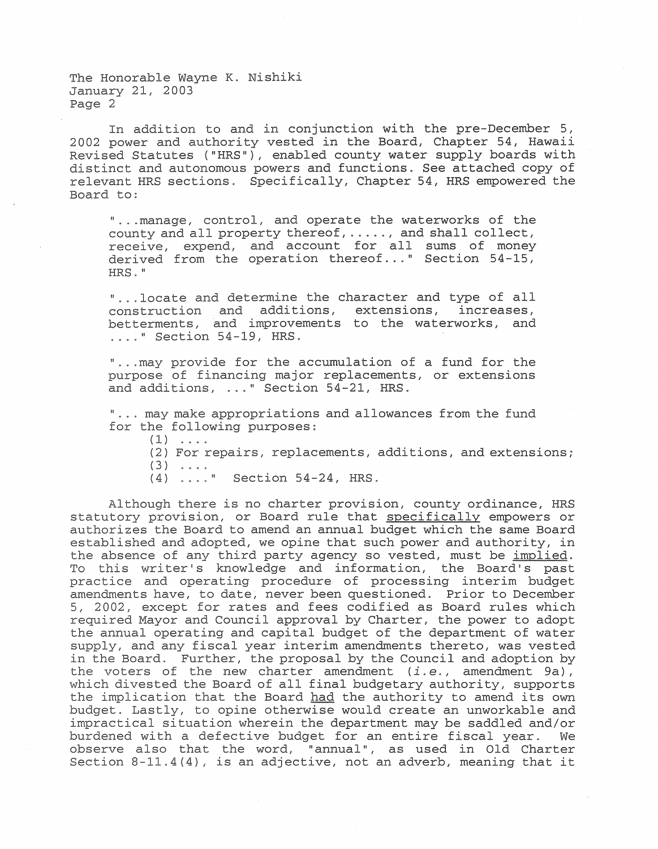The Honorable Wayne K. Nishiki January 21, 2003 Page 2

In addition to and in conjunction with the pre-December 5, 2002 power and authority vested in the Board, Chapter 54, Hawaii Revised Statutes ("HRS"), enabled county water supply boards with distinct and autonomous powers and functions. See attached copy of relevant HRS sections. Specifically, Chapter 54, HRS empowered the Board to:

"...manage, control, and operate the waterworks of the HRS." county and all property thereof,  $\dots$ , and shall collect, receive, expend, and account for all sums of monev derived from the operation thereof..." Section 54-15,

, extensions, increases, improvements to the waterworks, and ...." Section 54-19, HRS. "...locate and determine the character and type of all<br>construction and additions, extensions, increases,

"... may provide for the accumulation of a fund for the purpose of financing major replacements, or extensions and additions, ..." Section 54-21, HRS.

"... may make appropriations and allowances from the fund<br>for the following purposes:

- $(1)$  ....
- (2) For repairs, replacements, additions, and extensions;
- $(3)$  ....
- (4) ...." Section 54-24, HRS

In assembly of any charge party agency so vessed, mass so <u>dimensed</u>.<br>To this writer's knowledge and information, the Board's past practice and operating procedure of processing interim budget amendments , never been questioned. Prior to December amendments have, so aase, hever soon questremear tirer os secommer required Council approval by Charter, the power to adopt Although there is no charter provision, county ordinance, HRS statutory provision, or Board rule that specifically empowers or authorizes the Board to amend an annual budget which the same Board established and adopted, we opine that such power and authority, in the absence of any third party agency so vested, must be implied. the annual operating and capital budget of the department of water supply, and any fiscal year interim amendments thereto, was vested in the Board. Further, the proposal by the Council and adoption by the voters of the new charter amendment  $(i.e.,$  amendment  $9a)$ , which divested the Board of all final budgetary authority, supports the implication that the Board had the authority to amend its own budget. Lastly, to opine otherwise would create an unworkable and impractical situation wherein the department may be saddled and/or burdened with a defective budget for an entire fiscal year. We observe also that the word, "annual", as used in Old Charter Section  $8-11.4(4)$ , is an adjective, not an adverb, meaning that it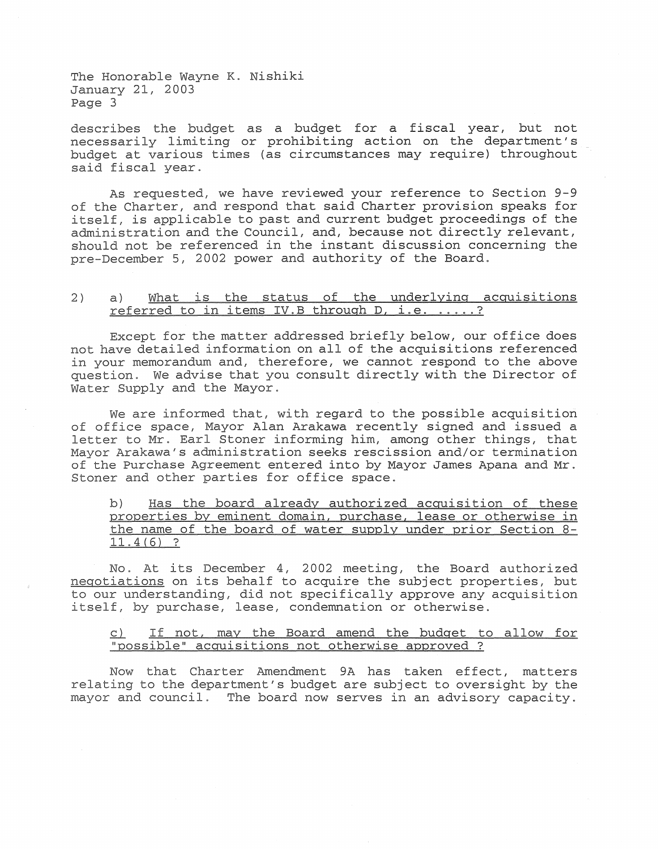The Honorable Wayne K. Nishiki January 21, 2003 Page 3

describes the budget as a budget for a fiscal year, but not necessarily limiting or prohibiting action on the department's budget at various times (as circumstances may require) throughout said fiscal year.

As requested, we have reviewed your reference to Section 9-9 of the Charter, and respond that said Charter provision speaks for itself, is applicable to past and current budget proceedings of the administration and the Council, and, because not directly relevant, should not be referenced in the instant discussion concerning the pre-December 5, 2002 power and authority of the Board.

## What is the status of the underlying acquisitions 2)  $a)$ referred to in items IV.B through D, i.e. .....?

Except for the matter addressed briefly below, our office does not have detailed information on all of the acquisitions referenced in your memorandum and, therefore, we cannot respond to the above question. We advise that you consult directly with the Director of Water Supply and the Mayor.

We are informed that, with regard to the possible acquisition of office space, Mayor Alan Arakawa recently signed and issued a oo Space, najer him: himakwa recentry Srgned and resect a<br>to Mr. Earl Stoner informing him, among other things, that administration seeks rescission and/or termination Mayor entered into by Mayor James Apana and Mr. of the resonance and other parties for office space.

Has the board already authorized acquisition of these  $b)$ properties by eminent domain, purchase, lease or otherwise in the name of the board of water supply under prior Section 8- $11.4(6)$  ?

No. At its December 4, 2002 meeting, the Board authorized negotiations on its behalf to acquire the subject properties, but to our understanding, did not specifically approve any acquisition itself, by purchase, lease, condemnation or otherwise.

## If not, may the Board amend the budget to allow for  $\subset$  ) "possible" acquisitions not otherwise approved ?

Now that Charter Amendment 9A has taken effect, matters relating to the department's budget are subject to oversight by the mayor and council. The board now serves in an advisory capacity.